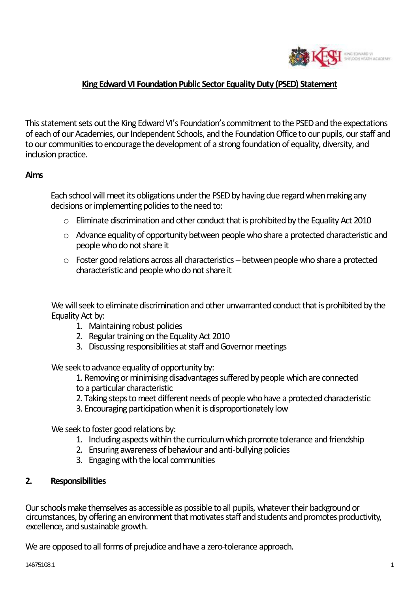

### **King Edward VI Foundation Public Sector Equality Duty (PSED) Statement**

This statement sets out the King Edward VI's Foundation's commitment to the PSED and the expectations of each of our Academies, our Independent Schools, and the Foundation Office to our pupils, our staff and to our communities to encourage the development of a strong foundation of equality, diversity, and inclusion practice.

#### **Aims**

Each school will meet its obligations under the PSED by having due regard when making any decisions or implementing policies to the need to:

- $\circ$  Eliminate discrimination and other conduct that is prohibited by the Equality Act 2010
- o Advance equality of opportunity between people who share a protected characteristic and people who do not share it
- o Foster good relations across all characteristics between people who share a protected characteristic and people who do not share it

We will seek to eliminate discrimination and other unwarranted conduct that is prohibited by the Equality Act by:

- 1. Maintaining robust policies
- 2. Regular training on the Equality Act 2010
- 3. Discussing responsibilities at staff and Governor meetings

We seek to advance equality of opportunity by:

- 1. Removing or minimising disadvantages suffered by people which are connected to a particular characteristic
- 2. Taking steps to meet different needs of people who have a protected characteristic
- 3. Encouraging participation when it is disproportionately low

We seek to foster good relations by:

- 1. Including aspects within the curriculum which promote tolerance and friendship
- 2. Ensuring awareness of behaviour and anti-bullying policies
- 3. Engaging with the local communities

#### **2. Responsibilities**

Our schools make themselves as accessible as possible to all pupils, whatever their background or circumstances, by offering an environment that motivates staff and students and promotes productivity, excellence, and sustainable growth.

We are opposed to all forms of prejudice and have a zero-tolerance approach.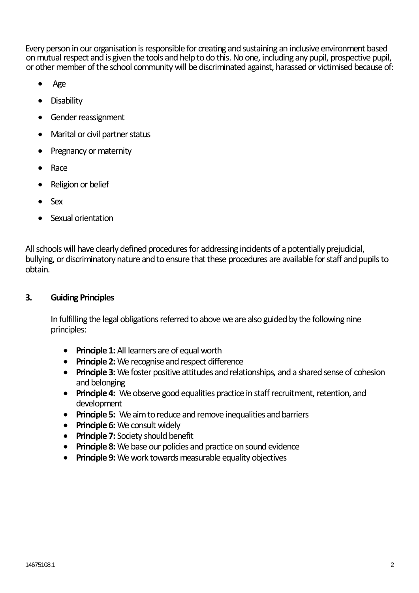Every person in our organisation is responsible for creating and sustaining an inclusive environment based on mutual respect and is given the tools and help to do this. No one, including any pupil, prospective pupil, or other member of the school community will be discriminated against, harassed or victimised because of:

- Age
- Disability
- Gender reassignment
- Marital or civil partner status
- Pregnancy or maternity
- Race
- Religion or belief
- Sex
- Sexual orientation

All schools will have clearly defined procedures for addressing incidents of a potentially prejudicial, bullying, or discriminatory nature and to ensure that these procedures are available for staff and pupils to obtain.

# **3. Guiding Principles**

In fulfilling the legal obligations referred to above we are also guided by the following nine principles:

- **Principle 1:** All learners are of equal worth
- **Principle 2:** We recognise and respect difference
- **Principle 3:** We foster positive attitudes and relationships, and a shared sense of cohesion and belonging
- **Principle 4:** We observe good equalities practice in staff recruitment, retention, and development
- **Principle 5:** We aim to reduce and remove inequalities and barriers
- **Principle 6:** We consult widely
- **Principle 7:** Society should benefit
- **Principle 8:** We base our policies and practice on sound evidence
- **Principle 9:** We work towards measurable equality objectives